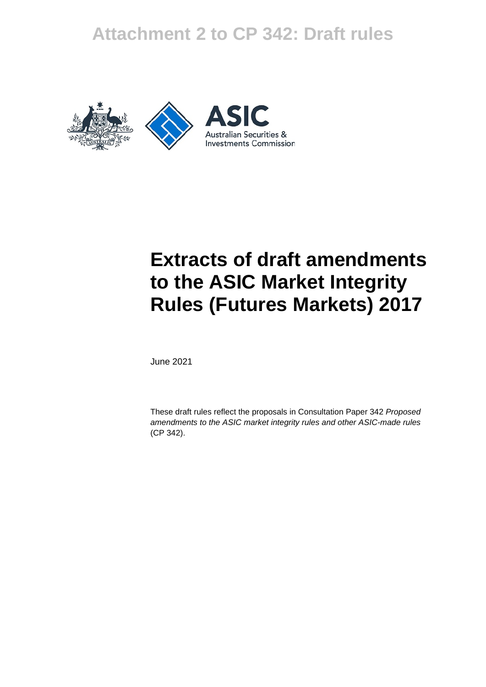# **Attachment 2 to CP 342: Draft rules**





# **Extracts of draft amendments to the ASIC Market Integrity Rules (Futures Markets) 2017**

June 2021

These draft rules reflect the proposals in Consultation Paper 342 *Proposed amendments to the ASIC market integrity rules and other ASIC-made rules*  (CP 342).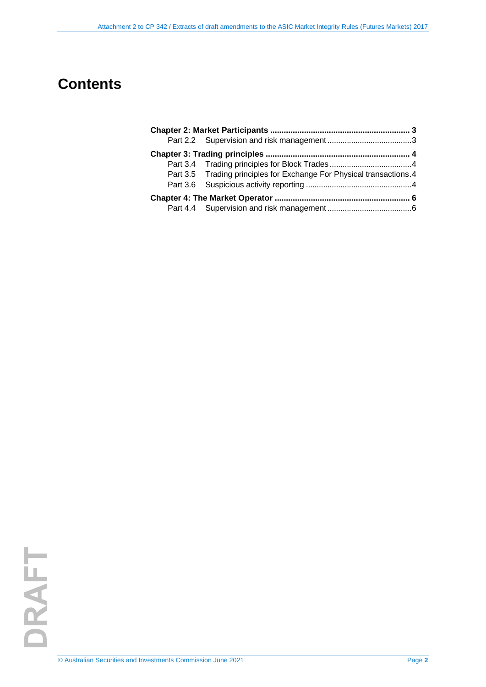# **Contents**

|  | Part 3.5 Trading principles for Exchange For Physical transactions.4 |  |
|--|----------------------------------------------------------------------|--|
|  |                                                                      |  |
|  |                                                                      |  |
|  |                                                                      |  |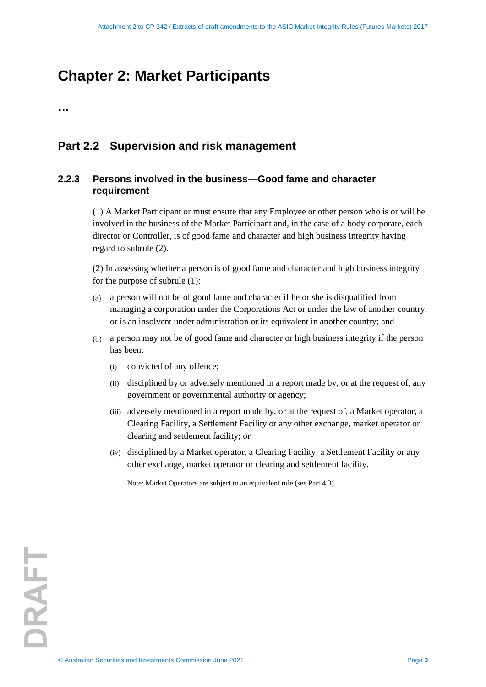# <span id="page-2-0"></span>**Chapter 2: Market Participants**

**…** 

### <span id="page-2-1"></span>**Part 2.2 Supervision and risk management**

### **2.2.3 Persons involved in the business—Good fame and character requirement**

(1) A Market Participant or must ensure that any Employee or other person who is or will be involved in the business of the Market Participant and, in the case of a body corporate, each director or Controller, is of good fame and character and high business integrity having regard to subrule (2).

(2) In assessing whether a person is of good fame and character and high business integrity for the purpose of subrule (1):

- a person will not be of good fame and character if he or she is disqualified from managing a corporation under the Corporations Act or under the law of another country, or is an insolvent under administration or its equivalent in another country; and
- a person may not be of good fame and character or high business integrity if the person has been:
	- (i) convicted of any offence;
	- (ii) disciplined by or adversely mentioned in a report made by, or at the request of, any government or governmental authority or agency;
	- (iii) adversely mentioned in a report made by, or at the request of, a Market operator, a Clearing Facility, a Settlement Facility or any other exchange, market operator or clearing and settlement facility; or
	- (iv) disciplined by a Market operator, a Clearing Facility, a Settlement Facility or any other exchange, market operator or clearing and settlement facility.

Note: Market Operators are subject to an equivalent rule (see Part 4.3).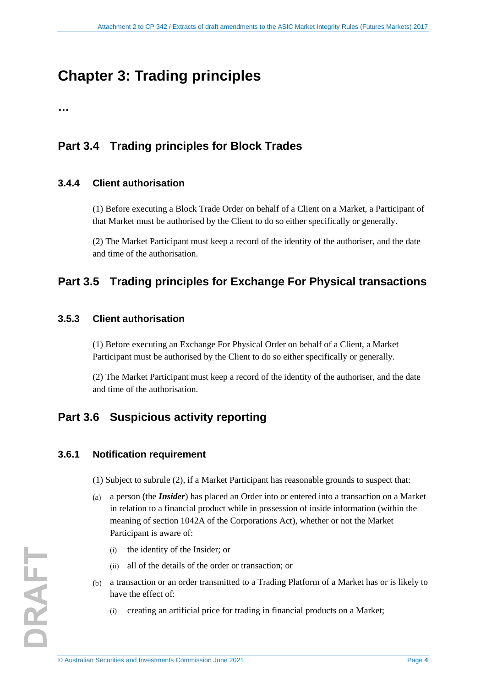# <span id="page-3-0"></span>**Chapter 3: Trading principles**

**…** 

## <span id="page-3-1"></span>**Part 3.4 Trading principles for Block Trades**

### **3.4.4 Client authorisation**

(1) Before executing a Block Trade Order on behalf of a Client on a Market, a Participant of that Market must be authorised by the Client to do so either specifically or generally.

(2) The Market Participant must keep a record of the identity of the authoriser, and the date and time of the authorisation.

### <span id="page-3-2"></span>**Part 3.5 Trading principles for Exchange For Physical transactions**

### **3.5.3 Client authorisation**

(1) Before executing an Exchange For Physical Order on behalf of a Client, a Market Participant must be authorised by the Client to do so either specifically or generally.

(2) The Market Participant must keep a record of the identity of the authoriser, and the date and time of the authorisation.

## <span id="page-3-3"></span>**Part 3.6 Suspicious activity reporting**

#### **3.6.1 Notification requirement**

- (1) Subject to subrule (2), if a Market Participant has reasonable grounds to suspect that:
- a person (the *Insider*) has placed an Order into or entered into a transaction on a Market in relation to a financial product while in possession of inside information (within the meaning of section 1042A of the Corporations Act), whether or not the Market Participant is aware of:
	- (i) the identity of the Insider; or
	- (ii) all of the details of the order or transaction; or
- a transaction or an order transmitted to a Trading Platform of a Market has or is likely to have the effect of:
	- (i) creating an artificial price for trading in financial products on a Market;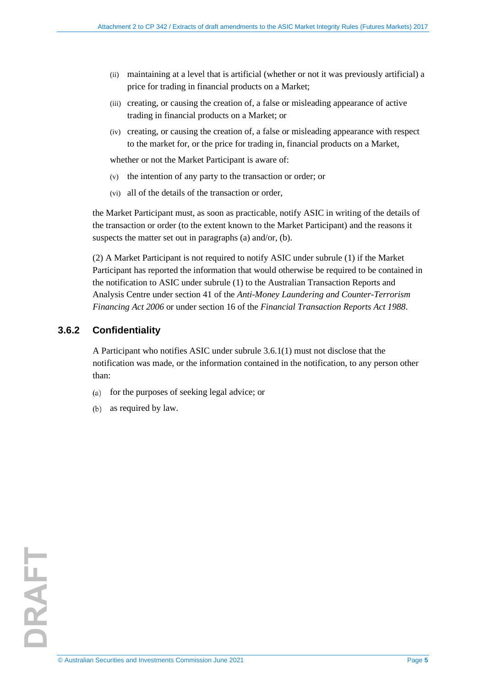- (ii) maintaining at a level that is artificial (whether or not it was previously artificial) a price for trading in financial products on a Market;
- (iii) creating, or causing the creation of, a false or misleading appearance of active trading in financial products on a Market; or
- (iv) creating, or causing the creation of, a false or misleading appearance with respect to the market for, or the price for trading in, financial products on a Market,

whether or not the Market Participant is aware of:

- (v) the intention of any party to the transaction or order; or
- (vi) all of the details of the transaction or order,

the Market Participant must, as soon as practicable, notify ASIC in writing of the details of the transaction or order (to the extent known to the Market Participant) and the reasons it suspects the matter set out in paragraphs (a) and/or, (b).

(2) A Market Participant is not required to notify ASIC under subrule (1) if the Market Participant has reported the information that would otherwise be required to be contained in the notification to ASIC under subrule (1) to the Australian Transaction Reports and Analysis Centre under section 41 of the *Anti-Money Laundering and Counter-Terrorism Financing Act 2006* or under section 16 of the *Financial Transaction Reports Act 1988*.

### **3.6.2 Confidentiality**

A Participant who notifies ASIC under subrule 3.6.1(1) must not disclose that the notification was made, or the information contained in the notification, to any person other than:

- for the purposes of seeking legal advice; or  $(a)$
- as required by law.  $(b)$